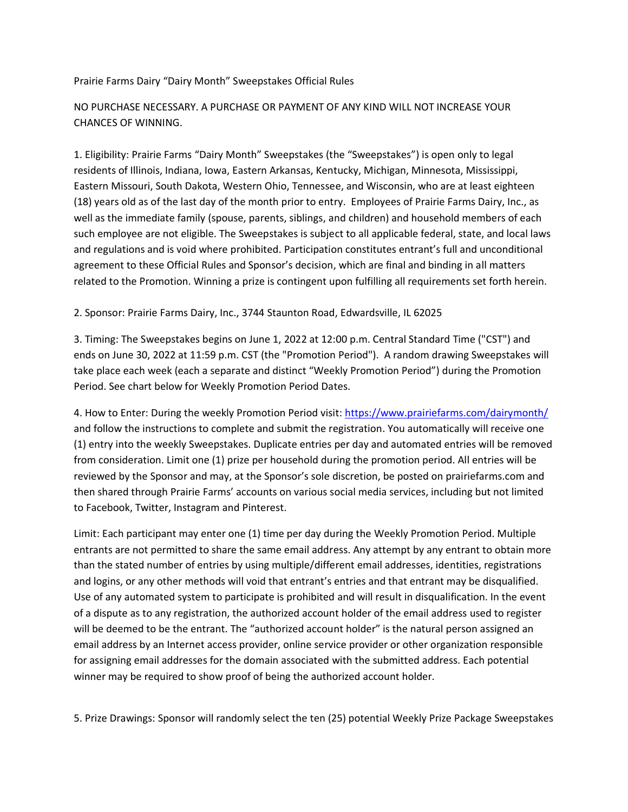## Prairie Farms Dairy "Dairy Month" Sweepstakes Official Rules

## NO PURCHASE NECESSARY. A PURCHASE OR PAYMENT OF ANY KIND WILL NOT INCREASE YOUR CHANCES OF WINNING.

1. Eligibility: Prairie Farms "Dairy Month" Sweepstakes (the "Sweepstakes") is open only to legal residents of Illinois, Indiana, Iowa, Eastern Arkansas, Kentucky, Michigan, Minnesota, Mississippi, Eastern Missouri, South Dakota, Western Ohio, Tennessee, and Wisconsin, who are at least eighteen (18) years old as of the last day of the month prior to entry. Employees of Prairie Farms Dairy, Inc., as well as the immediate family (spouse, parents, siblings, and children) and household members of each such employee are not eligible. The Sweepstakes is subject to all applicable federal, state, and local laws and regulations and is void where prohibited. Participation constitutes entrant's full and unconditional agreement to these Official Rules and Sponsor's decision, which are final and binding in all matters related to the Promotion. Winning a prize is contingent upon fulfilling all requirements set forth herein.

## 2. Sponsor: Prairie Farms Dairy, Inc., 3744 Staunton Road, Edwardsville, IL 62025

3. Timing: The Sweepstakes begins on June 1, 2022 at 12:00 p.m. Central Standard Time ("CST") and ends on June 30, 2022 at 11:59 p.m. CST (the "Promotion Period"). A random drawing Sweepstakes will take place each week (each a separate and distinct "Weekly Promotion Period") during the Promotion Period. See chart below for Weekly Promotion Period Dates.

4. How to Enter: During the weekly Promotion Period visit:<https://www.prairiefarms.com/dairymonth/> and follow the instructions to complete and submit the registration. You automatically will receive one (1) entry into the weekly Sweepstakes. Duplicate entries per day and automated entries will be removed from consideration. Limit one (1) prize per household during the promotion period. All entries will be reviewed by the Sponsor and may, at the Sponsor's sole discretion, be posted on prairiefarms.com and then shared through Prairie Farms' accounts on various social media services, including but not limited to Facebook, Twitter, Instagram and Pinterest.

Limit: Each participant may enter one (1) time per day during the Weekly Promotion Period. Multiple entrants are not permitted to share the same email address. Any attempt by any entrant to obtain more than the stated number of entries by using multiple/different email addresses, identities, registrations and logins, or any other methods will void that entrant's entries and that entrant may be disqualified. Use of any automated system to participate is prohibited and will result in disqualification. In the event of a dispute as to any registration, the authorized account holder of the email address used to register will be deemed to be the entrant. The "authorized account holder" is the natural person assigned an email address by an Internet access provider, online service provider or other organization responsible for assigning email addresses for the domain associated with the submitted address. Each potential winner may be required to show proof of being the authorized account holder.

5. Prize Drawings: Sponsor will randomly select the ten (25) potential Weekly Prize Package Sweepstakes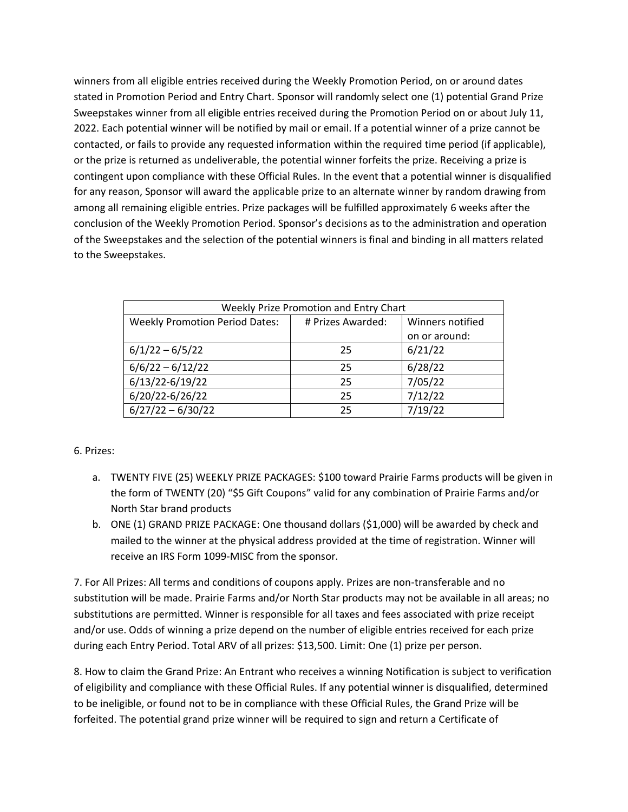winners from all eligible entries received during the Weekly Promotion Period, on or around dates stated in Promotion Period and Entry Chart. Sponsor will randomly select one (1) potential Grand Prize Sweepstakes winner from all eligible entries received during the Promotion Period on or about July 11, 2022. Each potential winner will be notified by mail or email. If a potential winner of a prize cannot be contacted, or fails to provide any requested information within the required time period (if applicable), or the prize is returned as undeliverable, the potential winner forfeits the prize. Receiving a prize is contingent upon compliance with these Official Rules. In the event that a potential winner is disqualified for any reason, Sponsor will award the applicable prize to an alternate winner by random drawing from among all remaining eligible entries. Prize packages will be fulfilled approximately 6 weeks after the conclusion of the Weekly Promotion Period. Sponsor's decisions as to the administration and operation of the Sweepstakes and the selection of the potential winners is final and binding in all matters related to the Sweepstakes.

| Weekly Prize Promotion and Entry Chart |                   |                  |
|----------------------------------------|-------------------|------------------|
| <b>Weekly Promotion Period Dates:</b>  | # Prizes Awarded: | Winners notified |
|                                        |                   | on or around:    |
| $6/1/22 - 6/5/22$                      | 25                | 6/21/22          |
| $6/6/22 - 6/12/22$                     | 25                | 6/28/22          |
| 6/13/22-6/19/22                        | 25                | 7/05/22          |
| 6/20/22-6/26/22                        | 25                | 7/12/22          |
| $6/27/22 - 6/30/22$                    | 25                | 7/19/22          |

## 6. Prizes:

- a. TWENTY FIVE (25) WEEKLY PRIZE PACKAGES: \$100 toward Prairie Farms products will be given in the form of TWENTY (20) "\$5 Gift Coupons" valid for any combination of Prairie Farms and/or North Star brand products
- b. ONE (1) GRAND PRIZE PACKAGE: One thousand dollars (\$1,000) will be awarded by check and mailed to the winner at the physical address provided at the time of registration. Winner will receive an IRS Form 1099-MISC from the sponsor.

7. For All Prizes: All terms and conditions of coupons apply. Prizes are non-transferable and no substitution will be made. Prairie Farms and/or North Star products may not be available in all areas; no substitutions are permitted. Winner is responsible for all taxes and fees associated with prize receipt and/or use. Odds of winning a prize depend on the number of eligible entries received for each prize during each Entry Period. Total ARV of all prizes: \$13,500. Limit: One (1) prize per person.

8. How to claim the Grand Prize: An Entrant who receives a winning Notification is subject to verification of eligibility and compliance with these Official Rules. If any potential winner is disqualified, determined to be ineligible, or found not to be in compliance with these Official Rules, the Grand Prize will be forfeited. The potential grand prize winner will be required to sign and return a Certificate of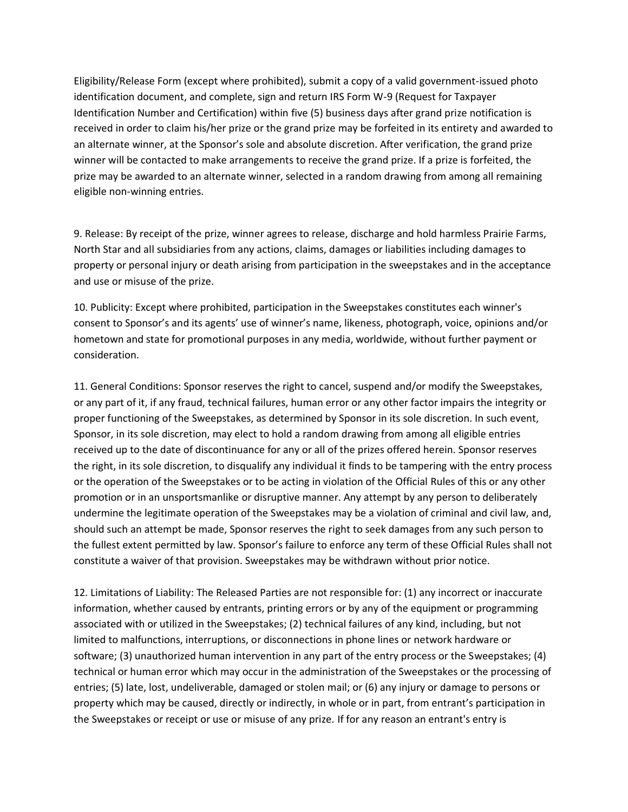Eligibility/Release Form (except where prohibited), submit a copy of a valid government-issued photo identification document, and complete, sign and return IRS Form W-9 (Request for Taxpayer Identification Number and Certification) within five (5) business days after grand prize notification is received in order to claim his/her prize or the grand prize may be forfeited in its entirety and awarded to an alternate winner, at the Sponsor's sole and absolute discretion. After verification, the grand prize winner will be contacted to make arrangements to receive the grand prize. If a prize is forfeited, the prize may be awarded to an alternate winner, selected in a random drawing from among all remaining eligible non-winning entries.

9. Release: By receipt of the prize, winner agrees to release, discharge and hold harmless Prairie Farms, North Star and all subsidiaries from any actions, claims, damages or liabilities including damages to property or personal injury or death arising from participation in the sweepstakes and in the acceptance and use or misuse of the prize.

10. Publicity: Except where prohibited, participation in the Sweepstakes constitutes each winner's consent to Sponsor's and its agents' use of winner's name, likeness, photograph, voice, opinions and/or hometown and state for promotional purposes in any media, worldwide, without further payment or consideration.

11. General Conditions: Sponsor reserves the right to cancel, suspend and/or modify the Sweepstakes, or any part of it, if any fraud, technical failures, human error or any other factor impairs the integrity or proper functioning of the Sweepstakes, as determined by Sponsor in its sole discretion. In such event, Sponsor, in its sole discretion, may elect to hold a random drawing from among all eligible entries received up to the date of discontinuance for any or all of the prizes offered herein. Sponsor reserves the right, in its sole discretion, to disqualify any individual it finds to be tampering with the entry process or the operation of the Sweepstakes or to be acting in violation of the Official Rules of this or any other promotion or in an unsportsmanlike or disruptive manner. Any attempt by any person to deliberately undermine the legitimate operation of the Sweepstakes may be a violation of criminal and civil law, and, should such an attempt be made, Sponsor reserves the right to seek damages from any such person to the fullest extent permitted by law. Sponsor's failure to enforce any term of these Official Rules shall not constitute a waiver of that provision. Sweepstakes may be withdrawn without prior notice.

12. Limitations of Liability: The Released Parties are not responsible for: (1) any incorrect or inaccurate information, whether caused by entrants, printing errors or by any of the equipment or programming associated with or utilized in the Sweepstakes; (2) technical failures of any kind, including, but not limited to malfunctions, interruptions, or disconnections in phone lines or network hardware or software; (3) unauthorized human intervention in any part of the entry process or the Sweepstakes; (4) technical or human error which may occur in the administration of the Sweepstakes or the processing of entries; (5) late, lost, undeliverable, damaged or stolen mail; or (6) any injury or damage to persons or property which may be caused, directly or indirectly, in whole or in part, from entrant's participation in the Sweepstakes or receipt or use or misuse of any prize. If for any reason an entrant's entry is